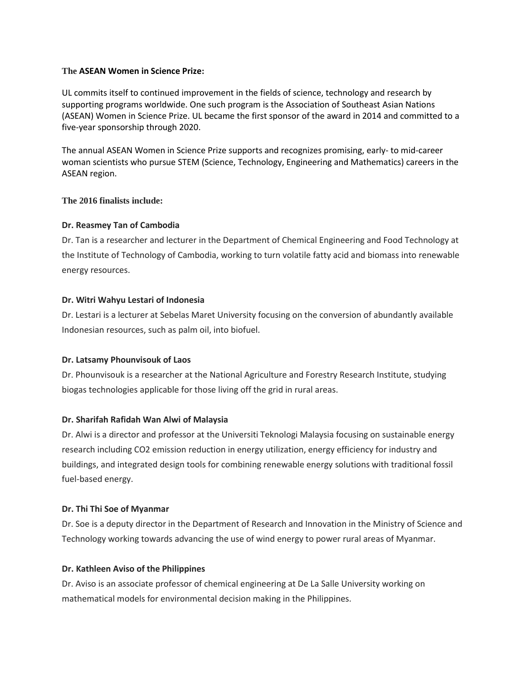## **The ASEAN Women in Science Prize:**

UL commits itself to continued improvement in the fields of science, technology and research by supporting programs worldwide. One such program is the Association of Southeast Asian Nations (ASEAN) Women in Science Prize. UL became the first sponsor of the award in 2014 and committed to a five-year sponsorship through 2020.

The annual ASEAN Women in Science Prize supports and recognizes promising, early- to mid-career woman scientists who pursue STEM (Science, Technology, Engineering and Mathematics) careers in the ASEAN region.

## **The 2016 finalists include:**

## **Dr. Reasmey Tan of Cambodia**

Dr. Tan is a researcher and lecturer in the Department of Chemical Engineering and Food Technology at the Institute of Technology of Cambodia, working to turn volatile fatty acid and biomass into renewable energy resources.

## **Dr. Witri Wahyu Lestari of Indonesia**

Dr. Lestari is a lecturer at Sebelas Maret University focusing on the conversion of abundantly available Indonesian resources, such as palm oil, into biofuel.

#### **Dr. Latsamy Phounvisouk of Laos**

Dr. Phounvisouk is a researcher at the National Agriculture and Forestry Research Institute, studying biogas technologies applicable for those living off the grid in rural areas.

## **Dr. Sharifah Rafidah Wan Alwi of Malaysia**

Dr. Alwi is a director and professor at the Universiti Teknologi Malaysia focusing on sustainable energy research including CO2 emission reduction in energy utilization, energy efficiency for industry and buildings, and integrated design tools for combining renewable energy solutions with traditional fossil fuel-based energy.

#### **Dr. Thi Thi Soe of Myanmar**

Dr. Soe is a deputy director in the Department of Research and Innovation in the Ministry of Science and Technology working towards advancing the use of wind energy to power rural areas of Myanmar.

#### **Dr. Kathleen Aviso of the Philippines**

Dr. Aviso is an associate professor of chemical engineering at De La Salle University working on mathematical models for environmental decision making in the Philippines.